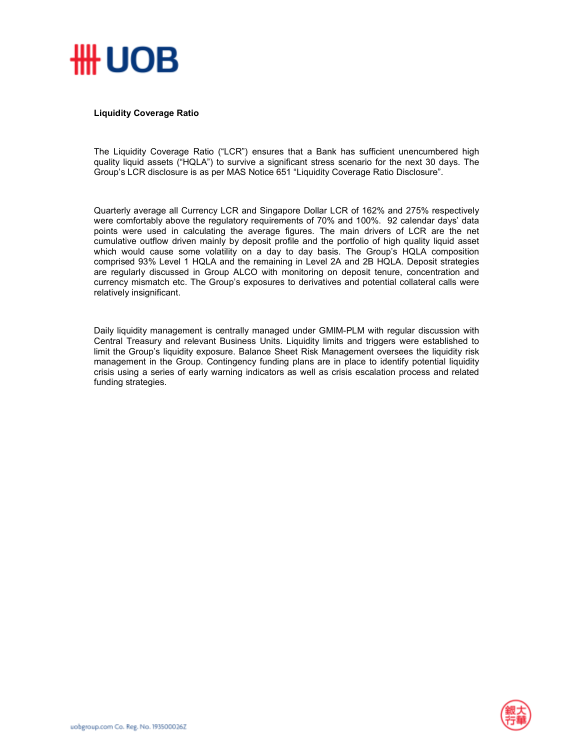

## **Liquidity Coverage Ratio**

The Liquidity Coverage Ratio ("LCR") ensures that a Bank has sufficient unencumbered high quality liquid assets ("HQLA") to survive a significant stress scenario for the next 30 days. The Group's LCR disclosure is as per MAS Notice 651 "Liquidity Coverage Ratio Disclosure".

Quarterly average all Currency LCR and Singapore Dollar LCR of 162% and 275% respectively were comfortably above the regulatory requirements of 70% and 100%. 92 calendar days' data points were used in calculating the average figures. The main drivers of LCR are the net cumulative outflow driven mainly by deposit profile and the portfolio of high quality liquid asset which would cause some volatility on a day to day basis. The Group's HQLA composition comprised 93% Level 1 HQLA and the remaining in Level 2A and 2B HQLA. Deposit strategies are regularly discussed in Group ALCO with monitoring on deposit tenure, concentration and currency mismatch etc. The Group's exposures to derivatives and potential collateral calls were relatively insignificant.

Daily liquidity management is centrally managed under GMIM-PLM with regular discussion with Central Treasury and relevant Business Units. Liquidity limits and triggers were established to limit the Group's liquidity exposure. Balance Sheet Risk Management oversees the liquidity risk management in the Group. Contingency funding plans are in place to identify potential liquidity crisis using a series of early warning indicators as well as crisis escalation process and related funding strategies.

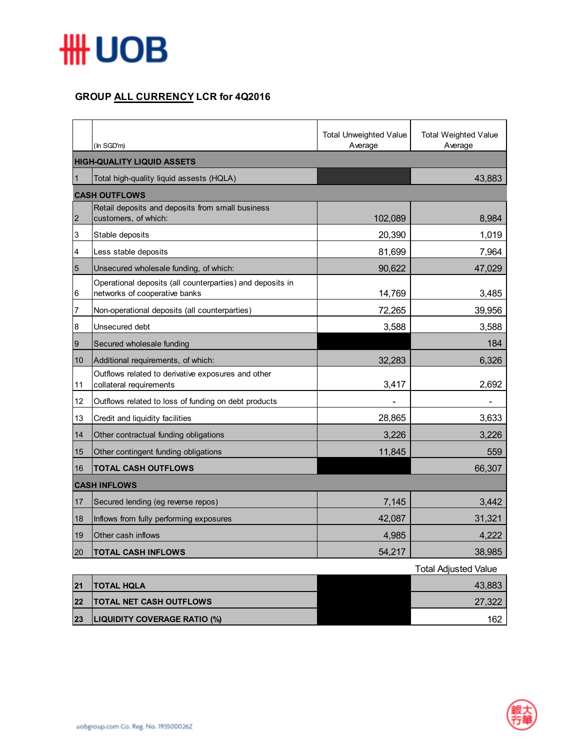

## **GROUP ALL CURRENCY LCR for 4Q2016**

|                     | (In SGD'm)                                                                                 | <b>Total Unweighted Value</b><br>Average | <b>Total Weighted Value</b><br>Average |  |  |
|---------------------|--------------------------------------------------------------------------------------------|------------------------------------------|----------------------------------------|--|--|
|                     | <b>HIGH-QUALITY LIQUID ASSETS</b>                                                          |                                          |                                        |  |  |
| $\vert$ 1           | Total high-quality liquid assests (HQLA)                                                   |                                          | 43,883                                 |  |  |
|                     | <b>CASH OUTFLOWS</b>                                                                       |                                          |                                        |  |  |
| $\overline{2}$      | Retail deposits and deposits from small business<br>customers, of which:                   | 102,089                                  | 8,984                                  |  |  |
| 3                   | Stable deposits                                                                            | 20,390                                   | 1,019                                  |  |  |
| 4                   | Less stable deposits                                                                       | 81,699                                   | 7,964                                  |  |  |
| $5\overline{5}$     | Unsecured wholesale funding, of which:                                                     | 90,622                                   | 47,029                                 |  |  |
| $6\phantom{.}6$     | Operational deposits (all counterparties) and deposits in<br>networks of cooperative banks | 14,769                                   | 3,485                                  |  |  |
| 7                   | Non-operational deposits (all counterparties)                                              | 72,265                                   | 39,956                                 |  |  |
| $\boldsymbol{8}$    | Unsecured debt                                                                             | 3,588                                    | 3,588                                  |  |  |
| 9                   | Secured wholesale funding                                                                  |                                          | 184                                    |  |  |
| 10                  | Additional requirements, of which:                                                         | 32,283                                   | 6,326                                  |  |  |
| 11                  | Outflows related to derivative exposures and other<br>collateral requirements              | 3,417                                    | 2,692                                  |  |  |
| 12                  | Outflows related to loss of funding on debt products                                       |                                          |                                        |  |  |
| 13                  | Credit and liquidity facilities                                                            | 28,865                                   | 3,633                                  |  |  |
| 14                  | Other contractual funding obligations                                                      | 3,226                                    | 3,226                                  |  |  |
| 15                  | Other contingent funding obligations                                                       | 11,845                                   | 559                                    |  |  |
| 16                  | <b>TOTAL CASH OUTFLOWS</b>                                                                 |                                          | 66,307                                 |  |  |
| <b>CASH INFLOWS</b> |                                                                                            |                                          |                                        |  |  |
| 17                  | Secured lending (eg reverse repos)                                                         | 7,145                                    | 3,442                                  |  |  |
| 18                  | Inflows from fully performing exposures                                                    | 42,087                                   | 31,321                                 |  |  |
| 19                  | Other cash inflows                                                                         | 4,985                                    | 4,222                                  |  |  |
| 20                  | <b>TOTAL CASH INFLOWS</b>                                                                  | 54,217                                   | 38,985                                 |  |  |
|                     |                                                                                            |                                          | Total Adjusted Value                   |  |  |

|    |                                     | <b>Total Adjusted Value</b> |
|----|-------------------------------------|-----------------------------|
| 21 | <b>TOTAL HQLA</b>                   | 43,883                      |
| 22 | <b>TOTAL NET CASH OUTFLOWS</b>      | 27,322                      |
| 23 | <b>LIQUIDITY COVERAGE RATIO (%)</b> | 162                         |